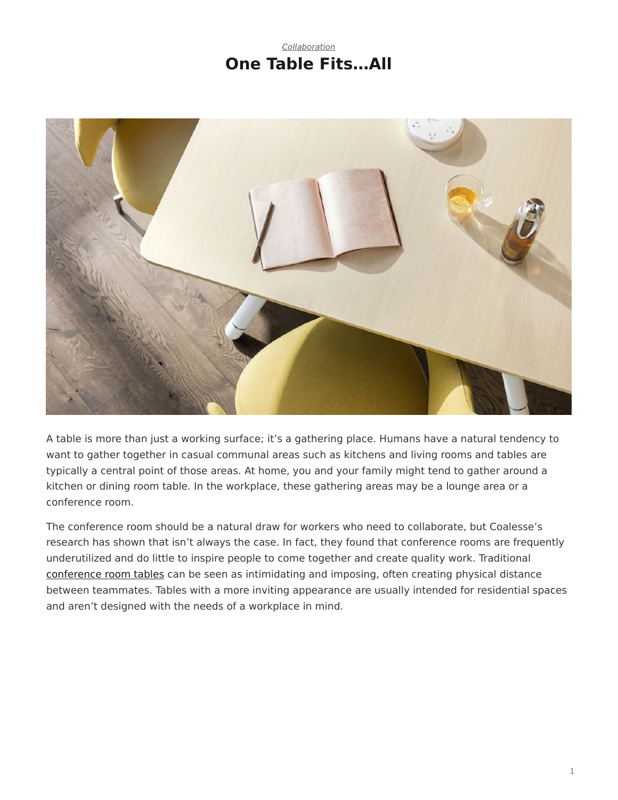## *[Collaboration](https://www.steelcase.com/research/topics/collaboration/)* **One Table Fits…All**

<span id="page-0-0"></span>

A table is more than just a working surface; it's a gathering place. Humans have a natural tendency to want to gather together in casual communal areas such as kitchens and living rooms and tables are typically a central point of those areas. At home, you and your family might tend to gather around a kitchen or dining room table. In the workplace, these gathering areas may be a lounge area or a conference room.

The conference room should be a natural draw for workers who need to collaborate, but Coalesse's research has shown that isn't always the case. In fact, they found that conference rooms are frequently underutilized and do little to inspire people to come together and create quality work. Traditional [conference room tables](https://www.steelcase.com/products/conference-classroom-tables/) can be seen as intimidating and imposing, often creating physical distance between teammates. Tables with a more inviting appearance are usually intended for residential spaces and aren't designed with the needs of a workplace in mind.